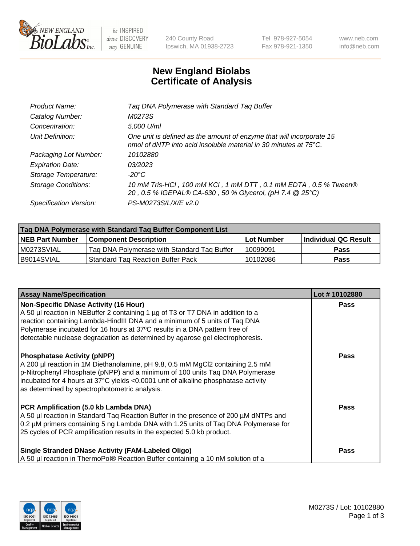

be INSPIRED drive DISCOVERY stay GENUINE

240 County Road Ipswich, MA 01938-2723 Tel 978-927-5054 Fax 978-921-1350 www.neb.com info@neb.com

## **New England Biolabs Certificate of Analysis**

| Product Name:           | Tag DNA Polymerase with Standard Tag Buffer                                                                                                        |
|-------------------------|----------------------------------------------------------------------------------------------------------------------------------------------------|
| Catalog Number:         | M0273S                                                                                                                                             |
| Concentration:          | 5,000 U/ml                                                                                                                                         |
| Unit Definition:        | One unit is defined as the amount of enzyme that will incorporate 15<br>nmol of dNTP into acid insoluble material in 30 minutes at $75^{\circ}$ C. |
| Packaging Lot Number:   | 10102880                                                                                                                                           |
| <b>Expiration Date:</b> | 03/2023                                                                                                                                            |
| Storage Temperature:    | $-20^{\circ}$ C                                                                                                                                    |
| Storage Conditions:     | 10 mM Tris-HCl, 100 mM KCl, 1 mM DTT, 0.1 mM EDTA, 0.5 % Tween®<br>20, 0.5 % IGEPAL® CA-630, 50 % Glycerol, (pH 7.4 @ 25°C)                        |
| Specification Version:  | PS-M0273S/L/X/E v2.0                                                                                                                               |

| Tag DNA Polymerase with Standard Tag Buffer Component List |                                             |                   |                      |  |
|------------------------------------------------------------|---------------------------------------------|-------------------|----------------------|--|
| <b>NEB Part Number</b>                                     | Component Description_                      | <b>Lot Number</b> | Individual QC Result |  |
| M0273SVIAL                                                 | Tag DNA Polymerase with Standard Tag Buffer | 10099091          | <b>Pass</b>          |  |
| B9014SVIAL                                                 | Standard Tag Reaction Buffer Pack           | 10102086          | Pass                 |  |

| <b>Assay Name/Specification</b>                                                                                                                                                                                                                                                                                                                                              | Lot #10102880 |
|------------------------------------------------------------------------------------------------------------------------------------------------------------------------------------------------------------------------------------------------------------------------------------------------------------------------------------------------------------------------------|---------------|
| <b>Non-Specific DNase Activity (16 Hour)</b><br>A 50 µl reaction in NEBuffer 2 containing 1 µg of T3 or T7 DNA in addition to a<br>reaction containing Lambda-HindIII DNA and a minimum of 5 units of Taq DNA<br>Polymerase incubated for 16 hours at 37°C results in a DNA pattern free of<br>detectable nuclease degradation as determined by agarose gel electrophoresis. | <b>Pass</b>   |
| <b>Phosphatase Activity (pNPP)</b><br>A 200 µl reaction in 1M Diethanolamine, pH 9.8, 0.5 mM MgCl2 containing 2.5 mM<br>p-Nitrophenyl Phosphate (pNPP) and a minimum of 100 units Taq DNA Polymerase<br>incubated for 4 hours at 37°C yields <0.0001 unit of alkaline phosphatase activity<br>as determined by spectrophotometric analysis.                                  | <b>Pass</b>   |
| PCR Amplification (5.0 kb Lambda DNA)<br>A 50 µl reaction in Standard Taq Reaction Buffer in the presence of 200 µM dNTPs and<br>0.2 µM primers containing 5 ng Lambda DNA with 1.25 units of Taq DNA Polymerase for<br>25 cycles of PCR amplification results in the expected 5.0 kb product.                                                                               | Pass          |
| <b>Single Stranded DNase Activity (FAM-Labeled Oligo)</b><br>A 50 µl reaction in ThermoPol® Reaction Buffer containing a 10 nM solution of a                                                                                                                                                                                                                                 | <b>Pass</b>   |

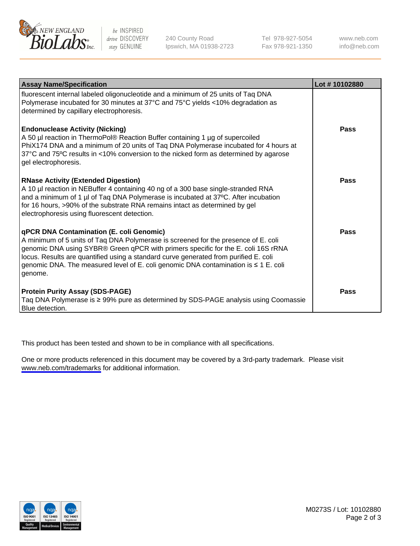

be INSPIRED drive DISCOVERY stay GENUINE

240 County Road Ipswich, MA 01938-2723 Tel 978-927-5054 Fax 978-921-1350

www.neb.com info@neb.com

| <b>Assay Name/Specification</b>                                                                                                                                                                                                                                                                                                                                                                                      | Lot #10102880 |
|----------------------------------------------------------------------------------------------------------------------------------------------------------------------------------------------------------------------------------------------------------------------------------------------------------------------------------------------------------------------------------------------------------------------|---------------|
| fluorescent internal labeled oligonucleotide and a minimum of 25 units of Taq DNA<br>Polymerase incubated for 30 minutes at 37°C and 75°C yields <10% degradation as<br>determined by capillary electrophoresis.                                                                                                                                                                                                     |               |
| <b>Endonuclease Activity (Nicking)</b><br>A 50 µl reaction in ThermoPol® Reaction Buffer containing 1 µg of supercoiled<br>PhiX174 DNA and a minimum of 20 units of Taq DNA Polymerase incubated for 4 hours at<br>37°C and 75°C results in <10% conversion to the nicked form as determined by agarose<br>gel electrophoresis.                                                                                      | Pass          |
| <b>RNase Activity (Extended Digestion)</b><br>A 10 µl reaction in NEBuffer 4 containing 40 ng of a 300 base single-stranded RNA<br>and a minimum of 1 µl of Taq DNA Polymerase is incubated at 37°C. After incubation<br>for 16 hours, >90% of the substrate RNA remains intact as determined by gel<br>electrophoresis using fluorescent detection.                                                                 | Pass          |
| <b>qPCR DNA Contamination (E. coli Genomic)</b><br>A minimum of 5 units of Taq DNA Polymerase is screened for the presence of E. coli<br>genomic DNA using SYBR® Green qPCR with primers specific for the E. coli 16S rRNA<br>locus. Results are quantified using a standard curve generated from purified E. coli<br>genomic DNA. The measured level of E. coli genomic DNA contamination is ≤ 1 E. coli<br>genome. | <b>Pass</b>   |
| <b>Protein Purity Assay (SDS-PAGE)</b><br>Taq DNA Polymerase is ≥ 99% pure as determined by SDS-PAGE analysis using Coomassie<br>Blue detection.                                                                                                                                                                                                                                                                     | Pass          |

This product has been tested and shown to be in compliance with all specifications.

One or more products referenced in this document may be covered by a 3rd-party trademark. Please visit <www.neb.com/trademarks>for additional information.